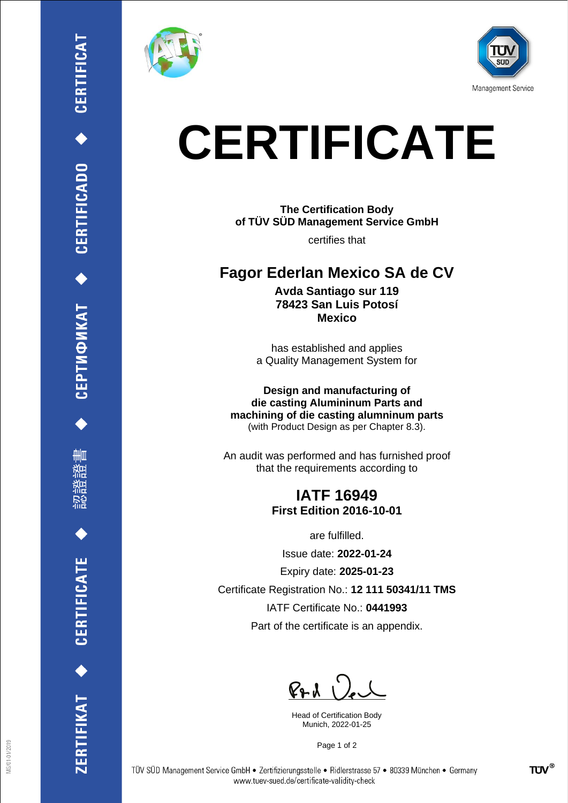

∰Ш

ERTIFIKAT ◆ CERTIFICATE





# **CERTIFICATE**

### **The Certification Body of TÜV SÜD Management Service GmbH**

certifies that

## **Fagor Ederlan Mexico SA de CV**

**Avda Santiago sur 119 78423 San Luis Potosí Mexico**

has established and applies a Quality Management System for

**Design and manufacturing of die casting Alumininum Parts and machining of die casting alumninum parts** (with Product Design as per Chapter 8.3).

An audit was performed and has furnished proof that the requirements according to

#### **IATF 16949 First Edition 2016-10-01**

are fulfilled.

Issue date: **2022-01-24**

Expiry date: **2025-01-23**

Certificate Registration No.: **12 111 50341/11 TMS**

IATF Certificate No.: **0441993**

Part of the certificate is an appendix.

 $P+A$ 

Head of Certification Body Munich, 2022-01-25

Page 1 of 2